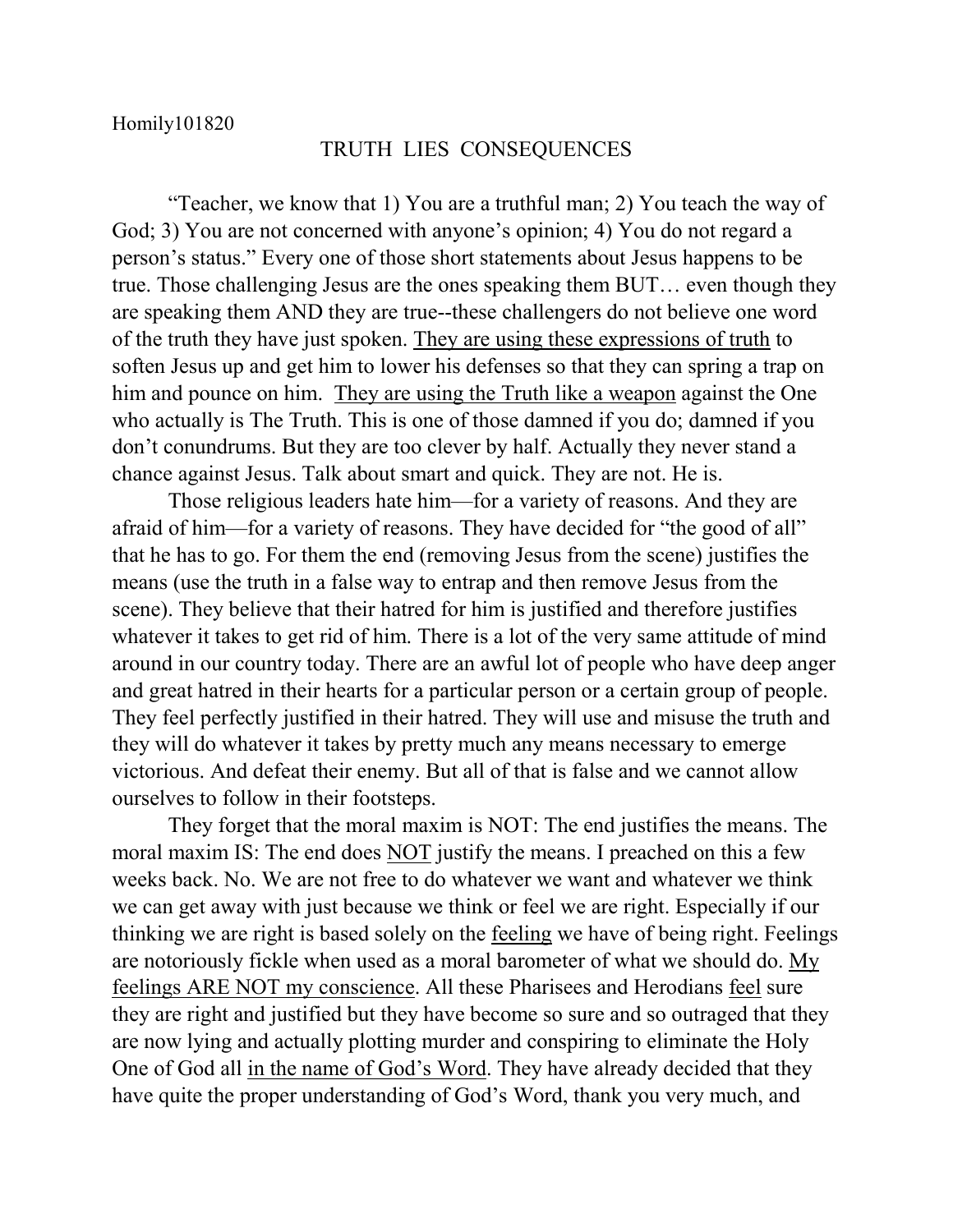## TRUTH LIES CONSEQUENCES

"Teacher, we know that 1) You are a truthful man; 2) You teach the way of God; 3) You are not concerned with anyone's opinion; 4) You do not regard a person's status." Every one of those short statements about Jesus happens to be true. Those challenging Jesus are the ones speaking them BUT… even though they are speaking them AND they are true--these challengers do not believe one word of the truth they have just spoken. They are using these expressions of truth to soften Jesus up and get him to lower his defenses so that they can spring a trap on him and pounce on him. They are using the Truth like a weapon against the One who actually is The Truth. This is one of those damned if you do; damned if you don't conundrums. But they are too clever by half. Actually they never stand a chance against Jesus. Talk about smart and quick. They are not. He is.

Those religious leaders hate him—for a variety of reasons. And they are afraid of him—for a variety of reasons. They have decided for "the good of all" that he has to go. For them the end (removing Jesus from the scene) justifies the means (use the truth in a false way to entrap and then remove Jesus from the scene). They believe that their hatred for him is justified and therefore justifies whatever it takes to get rid of him. There is a lot of the very same attitude of mind around in our country today. There are an awful lot of people who have deep anger and great hatred in their hearts for a particular person or a certain group of people. They feel perfectly justified in their hatred. They will use and misuse the truth and they will do whatever it takes by pretty much any means necessary to emerge victorious. And defeat their enemy. But all of that is false and we cannot allow ourselves to follow in their footsteps.

They forget that the moral maxim is NOT: The end justifies the means. The moral maxim IS: The end does NOT justify the means. I preached on this a few weeks back. No. We are not free to do whatever we want and whatever we think we can get away with just because we think or feel we are right. Especially if our thinking we are right is based solely on the feeling we have of being right. Feelings are notoriously fickle when used as a moral barometer of what we should do. My feelings ARE NOT my conscience. All these Pharisees and Herodians feel sure they are right and justified but they have become so sure and so outraged that they are now lying and actually plotting murder and conspiring to eliminate the Holy One of God all in the name of God's Word. They have already decided that they have quite the proper understanding of God's Word, thank you very much, and